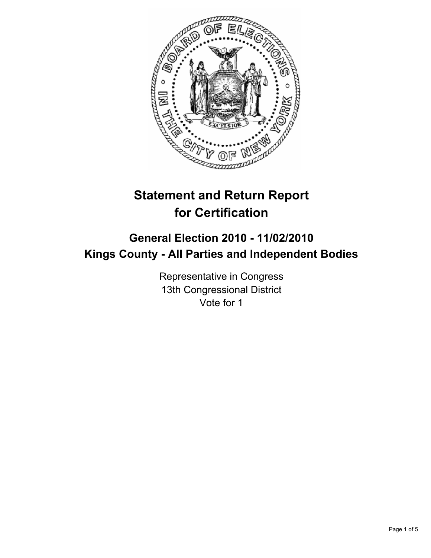

# **Statement and Return Report for Certification**

## **General Election 2010 - 11/02/2010 Kings County - All Parties and Independent Bodies**

Representative in Congress 13th Congressional District Vote for 1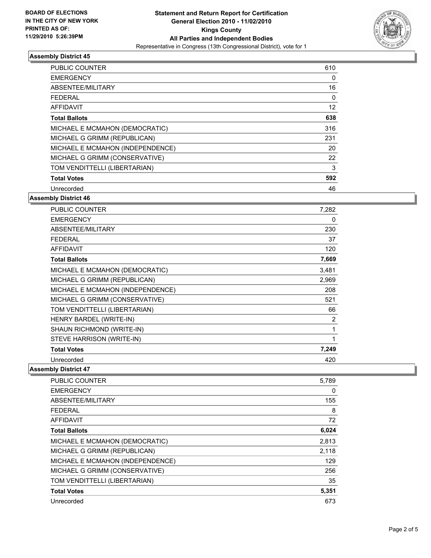

### **Assembly District 45**

| <b>PUBLIC COUNTER</b>            | 610 |
|----------------------------------|-----|
| <b>EMERGENCY</b>                 | 0   |
| ABSENTEE/MILITARY                | 16  |
| <b>FEDERAL</b>                   | 0   |
| AFFIDAVIT                        | 12  |
| <b>Total Ballots</b>             | 638 |
| MICHAEL E MCMAHON (DEMOCRATIC)   | 316 |
| MICHAEL G GRIMM (REPUBLICAN)     | 231 |
| MICHAEL E MCMAHON (INDEPENDENCE) | 20  |
| MICHAEL G GRIMM (CONSERVATIVE)   | 22  |
| TOM VENDITTELLI (LIBERTARIAN)    | 3   |
| <b>Total Votes</b>               | 592 |
| Unrecorded                       | 46  |

### **Assembly District 46**

| <b>PUBLIC COUNTER</b>            | 7,282 |
|----------------------------------|-------|
| <b>EMERGENCY</b>                 | 0     |
| ABSENTEE/MILITARY                | 230   |
| <b>FEDERAL</b>                   | 37    |
| <b>AFFIDAVIT</b>                 | 120   |
| <b>Total Ballots</b>             | 7,669 |
| MICHAEL E MCMAHON (DEMOCRATIC)   | 3,481 |
| MICHAEL G GRIMM (REPUBLICAN)     | 2,969 |
| MICHAEL E MCMAHON (INDEPENDENCE) | 208   |
| MICHAEL G GRIMM (CONSERVATIVE)   | 521   |
| TOM VENDITTELLI (LIBERTARIAN)    | 66    |
| HENRY BARDEL (WRITE-IN)          | 2     |
| SHAUN RICHMOND (WRITE-IN)        | 1     |
| STEVE HARRISON (WRITE-IN)        | 1     |
| <b>Total Votes</b>               | 7,249 |
| Unrecorded                       | 420   |

### **Assembly District 47**

| <b>PUBLIC COUNTER</b>            | 5.789 |
|----------------------------------|-------|
| <b>EMERGENCY</b>                 | 0     |
| ABSENTEE/MILITARY                | 155   |
| <b>FEDERAL</b>                   | 8     |
| AFFIDAVIT                        | 72    |
| <b>Total Ballots</b>             | 6,024 |
| MICHAEL E MCMAHON (DEMOCRATIC)   | 2,813 |
| MICHAEL G GRIMM (REPUBLICAN)     | 2,118 |
| MICHAEL E MCMAHON (INDEPENDENCE) | 129   |
| MICHAEL G GRIMM (CONSERVATIVE)   | 256   |
| TOM VENDITTELLI (LIBERTARIAN)    | 35    |
| <b>Total Votes</b>               | 5,351 |
| Unrecorded                       | 673   |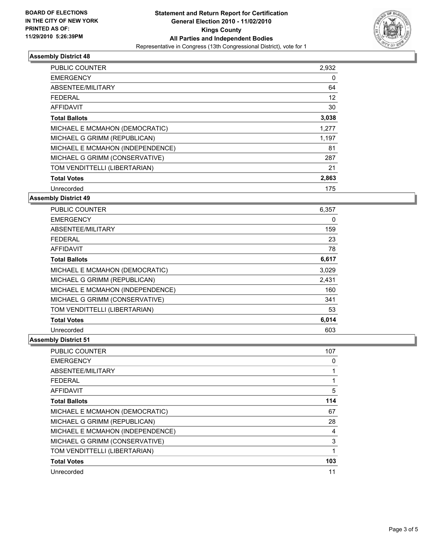

### **Assembly District 48**

| <b>PUBLIC COUNTER</b>            | 2,932 |
|----------------------------------|-------|
| <b>EMERGENCY</b>                 | 0     |
| ABSENTEE/MILITARY                | 64    |
| <b>FEDERAL</b>                   | 12    |
| AFFIDAVIT                        | 30    |
| <b>Total Ballots</b>             | 3,038 |
| MICHAEL E MCMAHON (DEMOCRATIC)   | 1,277 |
| MICHAEL G GRIMM (REPUBLICAN)     | 1,197 |
| MICHAEL E MCMAHON (INDEPENDENCE) | 81    |
| MICHAEL G GRIMM (CONSERVATIVE)   | 287   |
| TOM VENDITTELLI (LIBERTARIAN)    | 21    |
| <b>Total Votes</b>               | 2,863 |
| Unrecorded                       | 175   |

### **Assembly District 49**

| <b>PUBLIC COUNTER</b>            | 6,357 |
|----------------------------------|-------|
| <b>EMERGENCY</b>                 | 0     |
| ABSENTEE/MILITARY                | 159   |
| FEDERAL                          | 23    |
| <b>AFFIDAVIT</b>                 | 78    |
| <b>Total Ballots</b>             | 6,617 |
| MICHAEL E MCMAHON (DEMOCRATIC)   | 3,029 |
| MICHAEL G GRIMM (REPUBLICAN)     | 2,431 |
| MICHAEL E MCMAHON (INDEPENDENCE) | 160   |
| MICHAEL G GRIMM (CONSERVATIVE)   | 341   |
| TOM VENDITTELLI (LIBERTARIAN)    | 53    |
| <b>Total Votes</b>               | 6,014 |
| Unrecorded                       | 603   |

### **Assembly District 51**

| <b>PUBLIC COUNTER</b>            | 107 |
|----------------------------------|-----|
| <b>EMERGENCY</b>                 | 0   |
| ABSENTEE/MILITARY                |     |
| <b>FEDERAL</b>                   | 1   |
| <b>AFFIDAVIT</b>                 | 5   |
| <b>Total Ballots</b>             | 114 |
| MICHAEL E MCMAHON (DEMOCRATIC)   | 67  |
| MICHAEL G GRIMM (REPUBLICAN)     | 28  |
| MICHAEL E MCMAHON (INDEPENDENCE) | 4   |
| MICHAEL G GRIMM (CONSERVATIVE)   | 3   |
| TOM VENDITTELLI (LIBERTARIAN)    | 1   |
| <b>Total Votes</b>               | 103 |
| Unrecorded                       | 11  |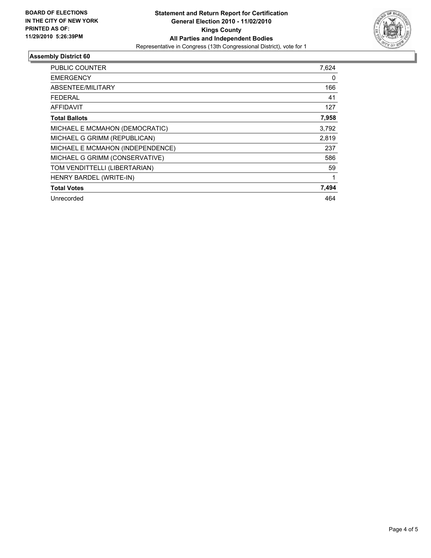

### **Assembly District 60**

| PUBLIC COUNTER                   | 7,624 |
|----------------------------------|-------|
| <b>EMERGENCY</b>                 | 0     |
| ABSENTEE/MILITARY                | 166   |
| FEDERAL                          | 41    |
| <b>AFFIDAVIT</b>                 | 127   |
| <b>Total Ballots</b>             | 7,958 |
| MICHAEL E MCMAHON (DEMOCRATIC)   | 3,792 |
| MICHAEL G GRIMM (REPUBLICAN)     | 2,819 |
| MICHAEL E MCMAHON (INDEPENDENCE) | 237   |
| MICHAEL G GRIMM (CONSERVATIVE)   | 586   |
| TOM VENDITTELLI (LIBERTARIAN)    | 59    |
| HENRY BARDEL (WRITE-IN)          | 1     |
| <b>Total Votes</b>               | 7,494 |
| Unrecorded                       | 464   |